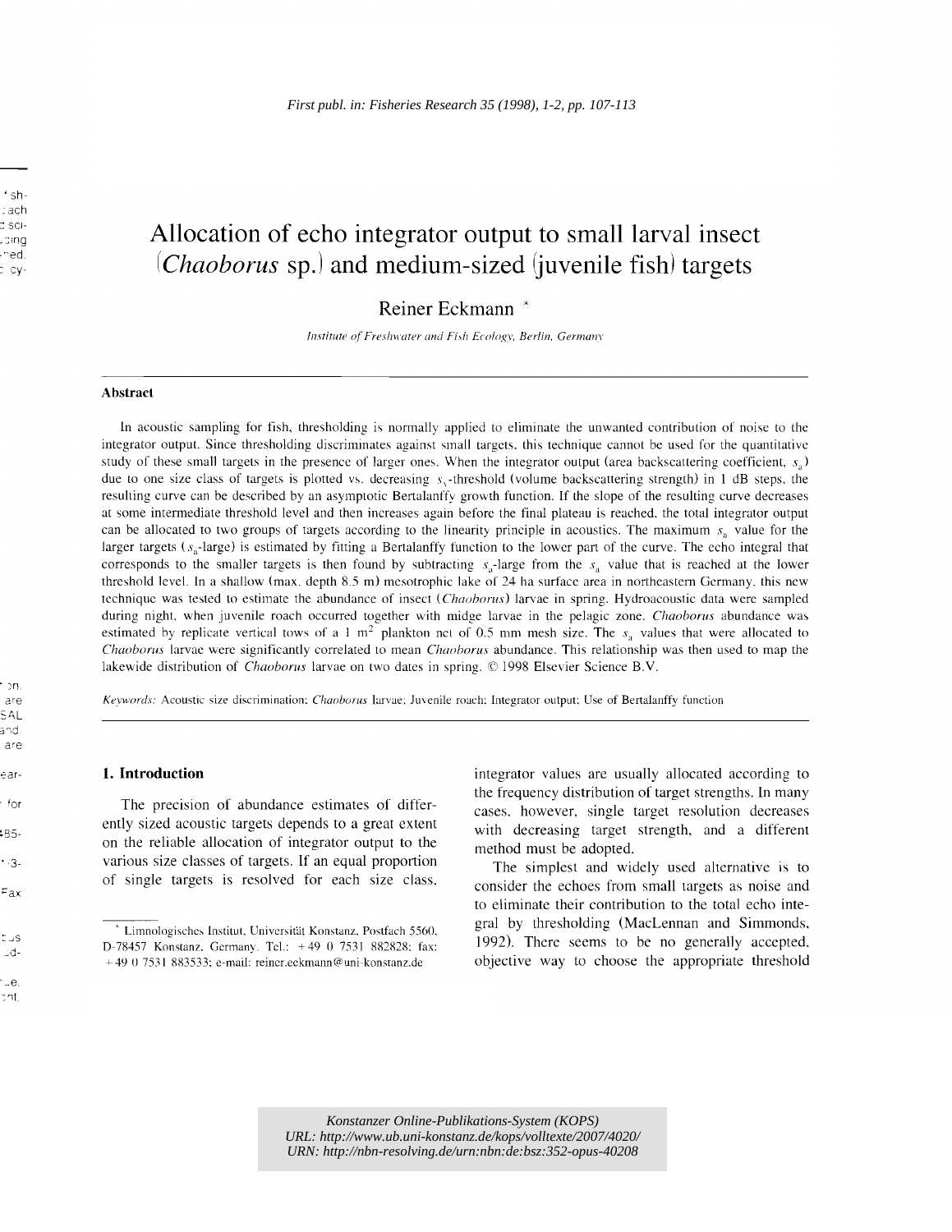# Allocation of echo integrator output to small larval insect (*Chaoborus* sp.) and medium-sized (*juvenile fish*) targets

# Reiner Eckmann \*

*Institute of Freshwater and Fi.\17 Ecology. Berlin. Germanv* 

#### Abstract

In acoustic sampling for fish, thresholding is normally applied to eliminate the unwanted contribution of noise to the integrator output. Since thresholding discriminates against small targets. this technique cannot be used for the quantitative study of these small targets in the presence of larger ones. When the integrator output (area backscattering coefficient,  $s_a$ ) due to one size class of targets is plotted vs, decreasing  $s$ , -threshold (volume backscattering strength) in 1 dB steps, the resulting curve can be described by an asymptotic Bertalanffy growth function, If the slope of the resulting curve decreases at some intermediate threshold level and then increases again before the final plateau is reached. the total integrator output can be allocated to two groups of targets according to the linearity principle in acoustics. The maximum  $s_a$  value for the larger targets ( $s_a$ -large) is estimated by fitting a Bertalanffy function to the lower part of the curve. The echo integral that corresponds to the smaller targets is then found by subtracting  $s_a$ -large from the  $s_a$  value that is reached at the lower threshold level. In a shallow (max. depth 8.5 m) mesotrophic lake of 24 ha surface area in northeastern Germany, this new technique was tested to estimate the abundance of insect *t.Chnoborus)* larvae in spring. Hydroacoustic data were sampled during night, when juvenile roach occurred together with midge larvae in the pelagic zone, *Chaoborus* abundance was estimated by replicate vertical tows of a 1 m<sup>2</sup> plankton net of 0.5 mm mesh size. The  $s_a$  values that were allocated to *Chaoborus* larvae were significantly correlated to mean *Chaoborus* abundance, This relationship was then used to map the lakewide distribution of *Chaoborus* larvae on two dates in spring, © 1998 Elsevier Science B.V.

are *Kevwords:* Acoustic size discrimination: *Chaoborus* larvae: Juvenile roach: Integrator output: Use of BertaIanffy function

#### 1. Introduction

The precision of abundance estimates of differently sized acoustic targets depends to a great extent on the reliable allocation of integrator output to the various size classes of targets. If an equal proportion of single targets is resolved for each size class, integrator values are usually allocated according to the frequency distribution of target strengths. In many cases, however, single target resolution decreases with decreasing target strength, and a different method must be adopted.

The simplest and widely used alternative is to consider the echoes from small targets as noise and to eliminate their contribution to the total echo integral by thresholding (MacLennan and Simmonds, 1992). There seems to be no generally accepted, objective way to choose the appropriate threshold

Umnologisches Institut, Universität Konstanz, Postfach 5560.<br>D-78457 Konstanz. Germany. Tel.: +49 0 7531 882828; fax: + 49 0 7531 883533: e-mail: reincr.eckmann@uni-konsranz.de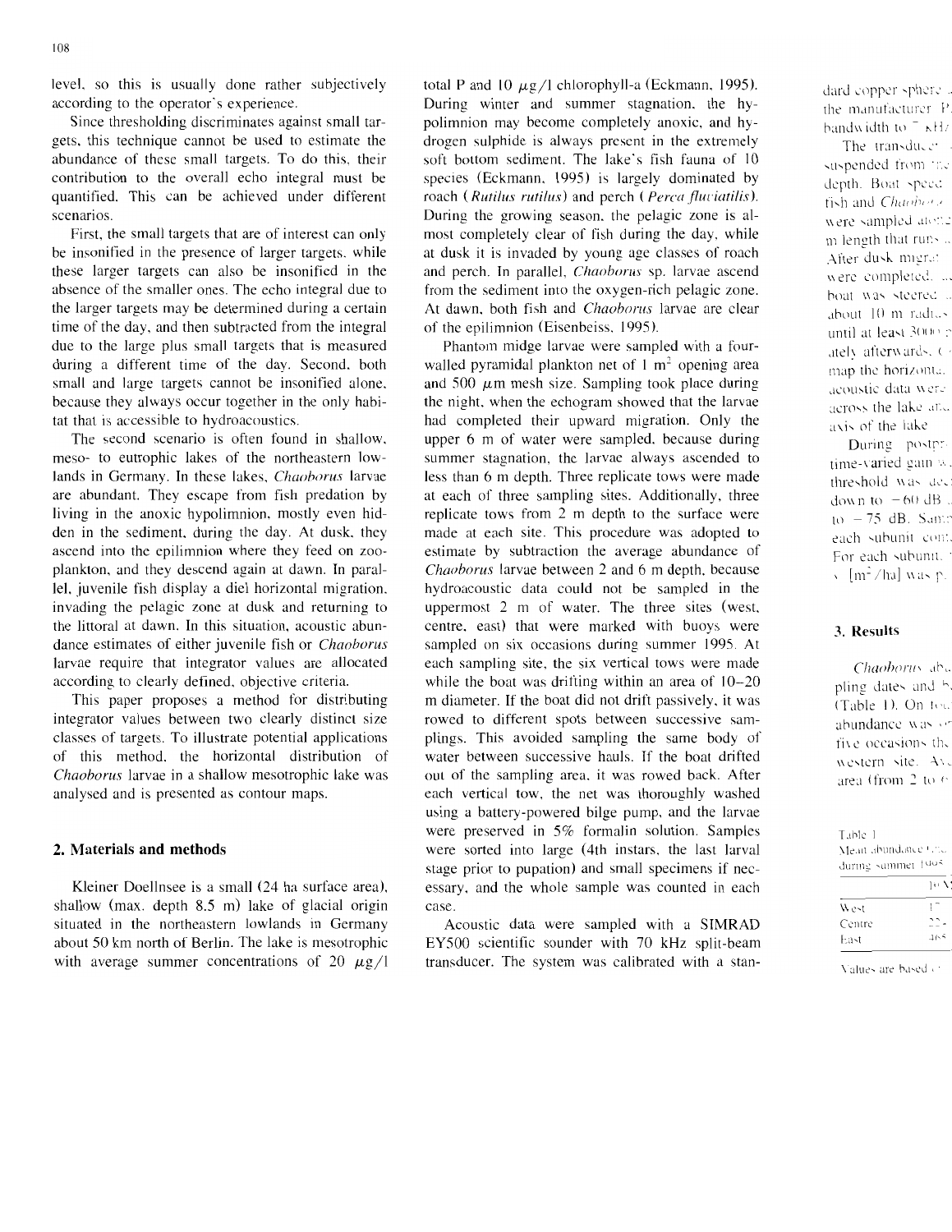level, so this is usually done rather subjectively according to the operator's experience.

Since thresholding discriminates against small targets, this technique cannot be used to estimate the abundance of these small targets. To do this, their contribution to the overall echo integral must be quantified. This can be achieved under different scenarios.

First, the small targets that are of interest can only be insonified in the presence of larger targets, while these larger targets can also be insonified in the absence of the smaller ones. The echo integral due to the larger targets may be determined during a certain time of the day, and then subtracted from the integral due to the large plus small targets that is measured during a different time of the day. Second. both small and large targets cannot be insonified alone. because they always occur together in the only habitat that is accessible to hydroacoustics.

The second scenario is often found in shallow. meso- to eutrophic lakes of the northeastern lowlands in Germany. In these lakes, *Chaoborus* larvae are abundant. They escape from fish predation by living in the anoxic hypolimnion, mostly even hidden in the sediment. during the day. At dusk. they ascend into the epilimnion where they feed on zooplankton, and they descend again at dawn. In parallel. juvenile fish display a diel horizontal migration. invading the pelagic zone at dusk and returning to the littoral at dawn. In this situation, acoustic abundance estimates of either juvenile fish or *Chaoborus* larvae require that integrator values are allocated according to clearly defined, objective criteria.

This paper proposes a method for distributing integrator values between two clearly distinct size classes of targets. To illustrate potential applications of this method. the horizontal distribution of *Chaoborus* larvae in a shallow mesotrophic lake was analysed and is presented as contour maps.

# **2. Materials and methods**

Kleiner Doellnsee is a small (24 ha surface area), shallow (max. depth  $8.5$  m) lake of glacial origin situated in the northeastern lowlands in Germany about 50 km north of Berlin. The lake is mesotrophic with average summer concentrations of 20  $\mu$ g/I total P and 10  $\mu$ g/l chlorophyll-a (Eckmann, 1995). During winter and summer stagnation, the hypolimnion may become completely anoxic, and hydrogen sulphide is always present in the extremely soft bottom sediment. The lake's fish fauna of 10 species (Eckmann, 1995) is largely dominated by roach (Rutilus rutilus) and perch (Perca fluviatilis). During the growing season. the pelagic zone is almost completely clear of fish during the day, while at dusk it is invaded by young age classes of roach and perch. In parallel, *Chaoborus* sp. larvae ascend from the sediment into the oxygen-rich pelagic zone. At dawn. both fish and *Chaoborus* larvae are clear of the epilimnion (Eisenbeiss, 1995).

dari t

Phantom midge larvae were sampled with a fourwalled pyramidal plankton net of  $1 \text{ m}^2$  opening area and 500  $\mu$ m mesh size. Sampling took place during the night. when the echogram showed that the larvae had completed their upward migration. Only the upper 6 m of water were sampled, because during summer stagnation. the larvae always ascended to less than 6 m depth. Three replicate tows were made at each of three sampling sites. Additionally. three replicate tows from 2 m depth to the surface were made at each site. This procedure was adopted to estimate by subtraction the average abundance of *Chaoborus* larvae between 2 and 6 m depth, because hydroacoustic data could not be sampled in the uppermost 2 m of water. The three sites (west. centre. east) that were marked with buoys were sampled on six occasions during summer 1995. At each sampling site, the six vertical tows were made while the boat was drifting within an area of  $10-20$ m diameter. If the boat did not drift passively, it was rowed to different spots between successive samplings. This avoided sampling the same body of water between successive hauls. If the boat drifted out of the sampling area, it was rowed back. After each vertical tow. the net was thoroughly washed using a battery-powered bilge pump, and the larvae were preserved in 5% formalin solution. Samples were sorted into large (4th instars, the last larval stage prior to pupation) and small specimens if necessary, and the whole sample was counted in each case.

Acoustic data were sampled with a SIMRAD EY500 scientific sounder with 70 kHz split-beam transducer. The system was calibrated with a stan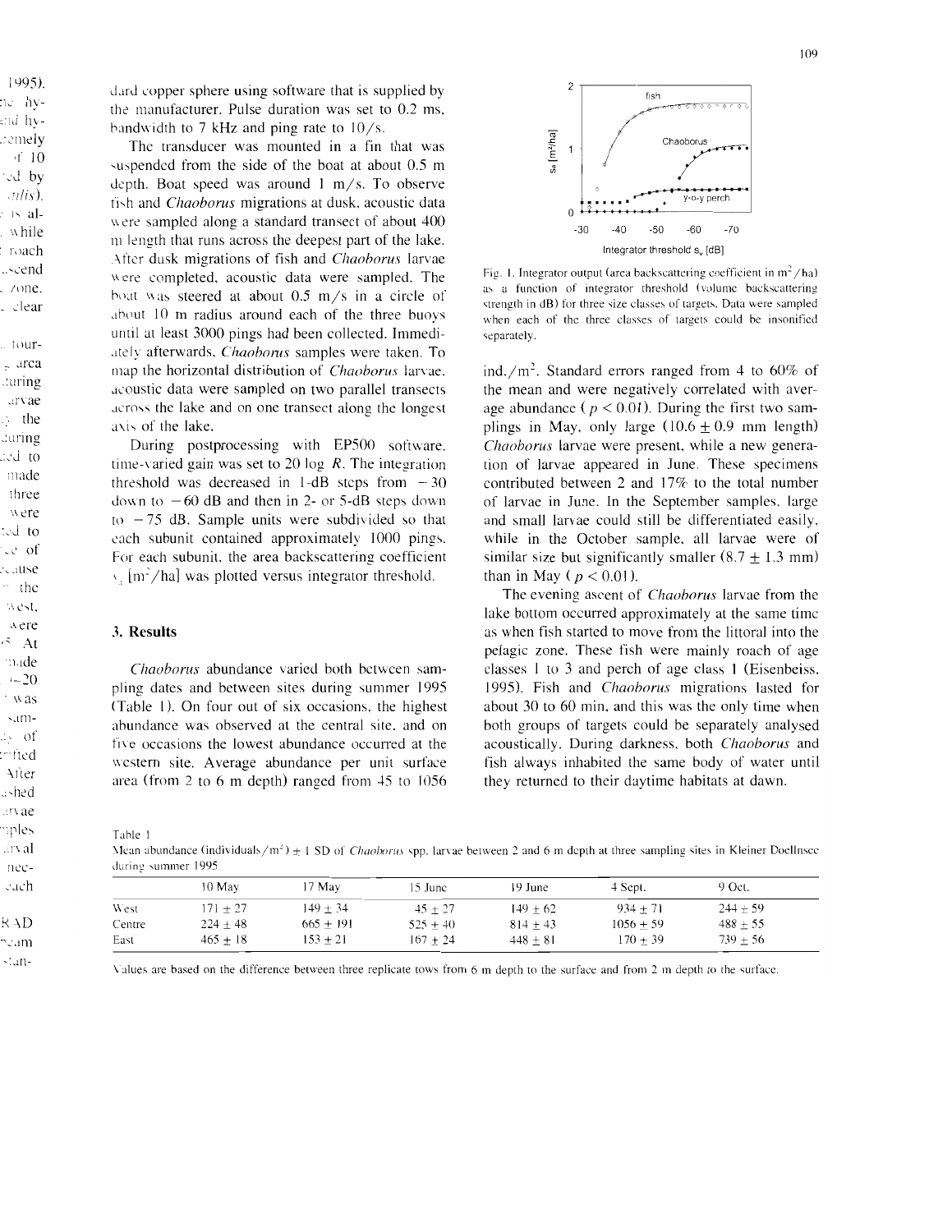dard copper sphere using software that is supplied by the manufacturer. Pulse duration was set to 0.2 ms, bandwidth to 7 kHz and ping rate to  $10/s$ .

The transducer was mounted in a fin that was -uspendcd from the side of the boat at about 0.5 m depth. Boat speed was around I *m/s.* To observe ti-h and *Chaoborus* migrations at dusk. acoustic data were sampled along a standard transect of about 400 <sup>111</sup>length that runs across the deepest part of the lake. After dusk migrations of fish and *Chaoborus* larvae were completed, acoustic data were sampled. The hoat was steered at about  $0.5$  m/s in a circle of .ibout 10 m radius around each of the three buoys until at least 3000 pings had been collected. Immedi .Itely afterwards. *Chaoborus* samples were taken. To map the horizontal distribution of *Chaoborus* larvae . .icoustic data were sampled on two parallel transects across the lake and on one transect along the longest axis of the lake.

During postprocessing with EP500 software. time-varied gain was set to 20 log *R.* The integration threshold was decreased in 1-dB steps from  $-30$ down to  $-60$  dB and then in 2- or 5-dB steps down to  $-75$  dB. Sample units were subdivided so that each subunit contained approximately 1000 pings. For each subunit, the area backscattering coefficient \, [m*2/ha]* was plotted versus integrator threshold.

#### 3. **Results**

*Chaoborus* abundance varied both between sampling dates and between sites during summer 1995  $(Table 1)$ . On four out of six occasions, the highest abundance was observed at the central site. and on five occasions the lowest abundance occurred at the western site. Average abundance per unit surface area (from 2 to 6 m depth) ranged from 45 to 1056



Fig. 1. Integrator output (area backscattering coefficient in  $m^2/ha$ ) as a function of integrator threshold (volume backscattering strength in dB) for three size classes of targets. Data were sampled when eaeh of the three classes of targets could be insonified separately.

ind./m<sup>2</sup>. Standard errors ranged from 4 to 60% of the mean and were negatively correlated with average abundance ( $p < 0.01$ ). During the first two samplings in May, only large  $(10.6 + 0.9$  mm length) *Chaoborus* larvae were present. while a new generation of larvae appeared in June. These specimens contributed between 2 and  $17\%$  to the total number of larvae in June. In the September samples. large and small larvae could still be differentiated easily. while in the October sample. all larvae were of similar size but significantly smaller  $(8.7 \pm 1.3 \text{ mm})$ than in May ( $p < 0.01$ ).

The evening ascent of *Chaoborus* larvae from the lake bottom occurred approximately at the same time as when fish started to move from the littoral into the pelagic zone. These fish were mainly roach of age classes I to 3 and perch of age class 1 (Eisenbeiss, 1995). Fish and *Chaoborus* migrations lasted for about 30 to 60 min. and this was the only time when both groups of targets could be separately analysed acoustically. During darkness. both *Chaoborus* and fish always inhabited the same body of water until they returned to their daytime habitats at dawn.

Tahle I

Mean abundance (individuals /m<sup>2</sup>)  $\pm$  1 SD of *Chaoborus* spp. larvae between 2 and 6 m depth at three sampling sites in Kleiner Docllnscc during summer 1995

|        | 10 May       | $17$ May    | 15 June    | 19 June    | 4 Sept.     | 9 Oct.       |  |
|--------|--------------|-------------|------------|------------|-------------|--------------|--|
| West   | $171 + 27$   | $149 + 34$  | $45 + 27$  | $149 + 62$ | $934 + 71$  | $244 + 59$   |  |
| Centre | $224 \pm 48$ | $665 + 191$ | $525 + 40$ | $814 + 43$ | $1056 + 59$ | $488 \pm 55$ |  |
| East   | $465 + 18$   | $153 + 21$  | $167 + 24$ | $448 + 81$ | $170 + 39$  | $739 \pm 56$ |  |

Values are based on the difference between three replicate tows from 6 m depth to the surface and from 2 m depth to the surface.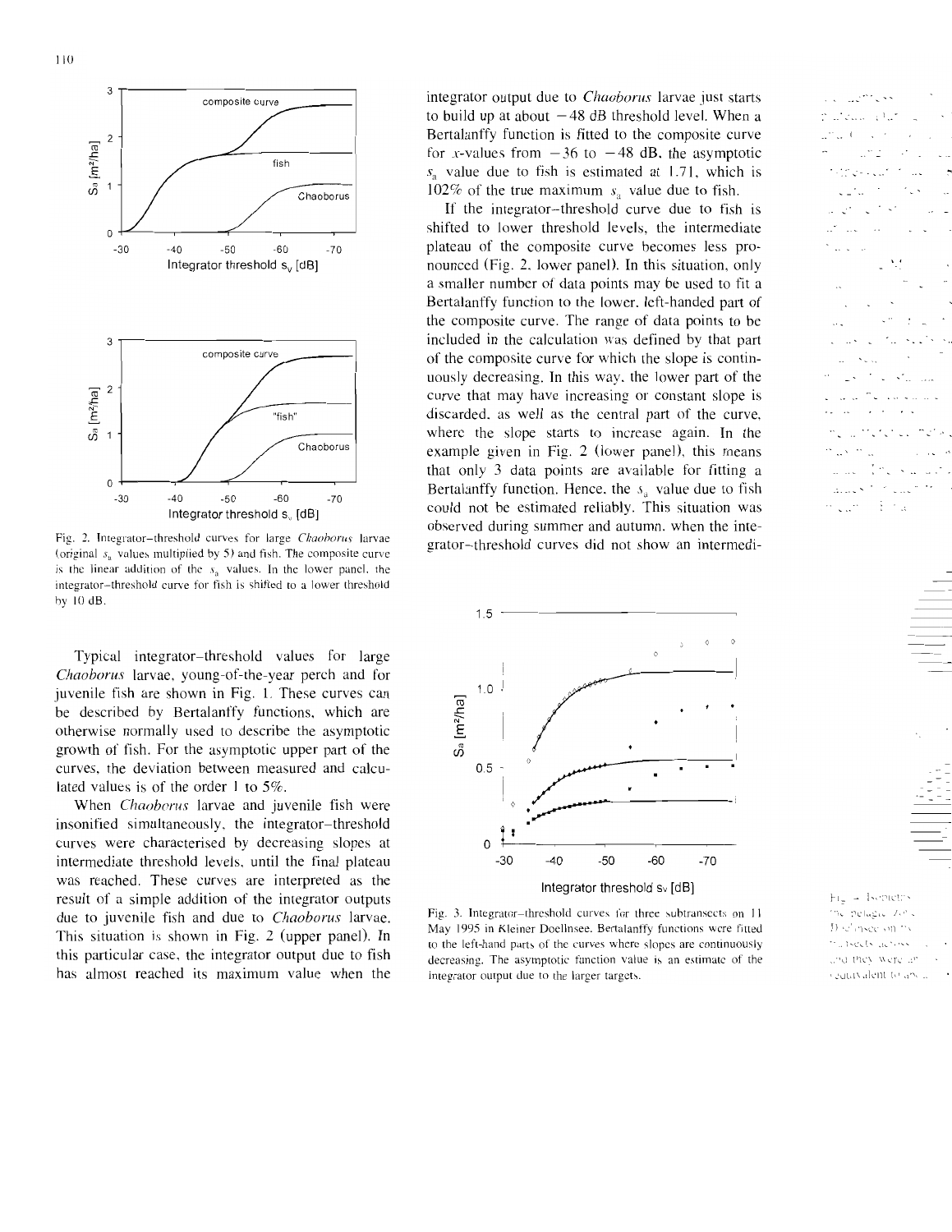

Fig. 2. Integrator-threshold curves for large *Chaoborus* larvae (original  $s_n$  values multiplied by 5) and fish. The composite curve is the linear addition of the  $s<sub>a</sub>$  values. In the lower panel, the integrator-threshold curve for fish is shifted to a lower threshold by 10 dB.

Typical integrator-threshold values for large *Chaoborus* larvae, young-of-the-year perch and for juvenile fish are shown in Fig. I. These curves can be described by Bertalanffy functions, which are otherwise normally used to describe the asymptotic growth of fish. For the asymptotic upper part of the curves, the deviation between measured and calculated values is of the order I to 5%.

When *Chaoborus* larvae and juvenile fish were insonified simultaneously, the integrator-threshold curves were characterised by decreasing slopes at intermediate threshold levels, until the final plateau was reached. These curves are interpreted as the result of a simple addition of the integrator outputs due to juvenile fish and due to *Chaoborus* larvae. This situation is shown in Fig. 2 (upper panel), **In**  this particular case, the integrator output due to fish has almost reached its maximum value when the

integrator output due to *Chaoborus* larvae just starts to build up at about  $-48$  dB threshold level. When a Bertalanffy function is fitted to the composite curve for x-values from  $-36$  to  $-48$  dB, the asymptotic  $s<sub>s</sub>$  value due to fish is estimated at 1.71, which is 102% of the true maximum  $s_a$  value due to fish.

If the integrator-threshold curve due to fish is shifted to lower threshold levels. the intermediate plateau of the composite curve becomes less pronounced (Fig. 2. lower panel). **In** this situation, only a smaller number of data points may be used to fit a Bertalanffy function to the lower, left-handed part of the composite curve. The range of data points to be included in the calculation was defined by that part of the composite curve for which the slope is continuously decreasing. **In** this way. Ihe lower part of the curve that may have increasing or constant slope is discarded. as well as the central part of the curve, where the slope starts to increase again. **In** the example given in Fig. 2 (lower panel), this means that only 3 data points are available for fitting a Bertalanffy function. Hence, the  $s_a$  value due to fish could not be estimated reliably, This situation was observed during summer and autumn. when the integrator-threshold curves did not show an intermedi-



Fig. 3. Integrator-threshold curves for three subtransects on 11 May 1995 in Kleiner Doellnsee. Bertalanffy functions were fitted to the left-hand parts of the curves where slopes are continuously decreasing. The asymptotic function value is an estimate of the integrator output due to the larger targets.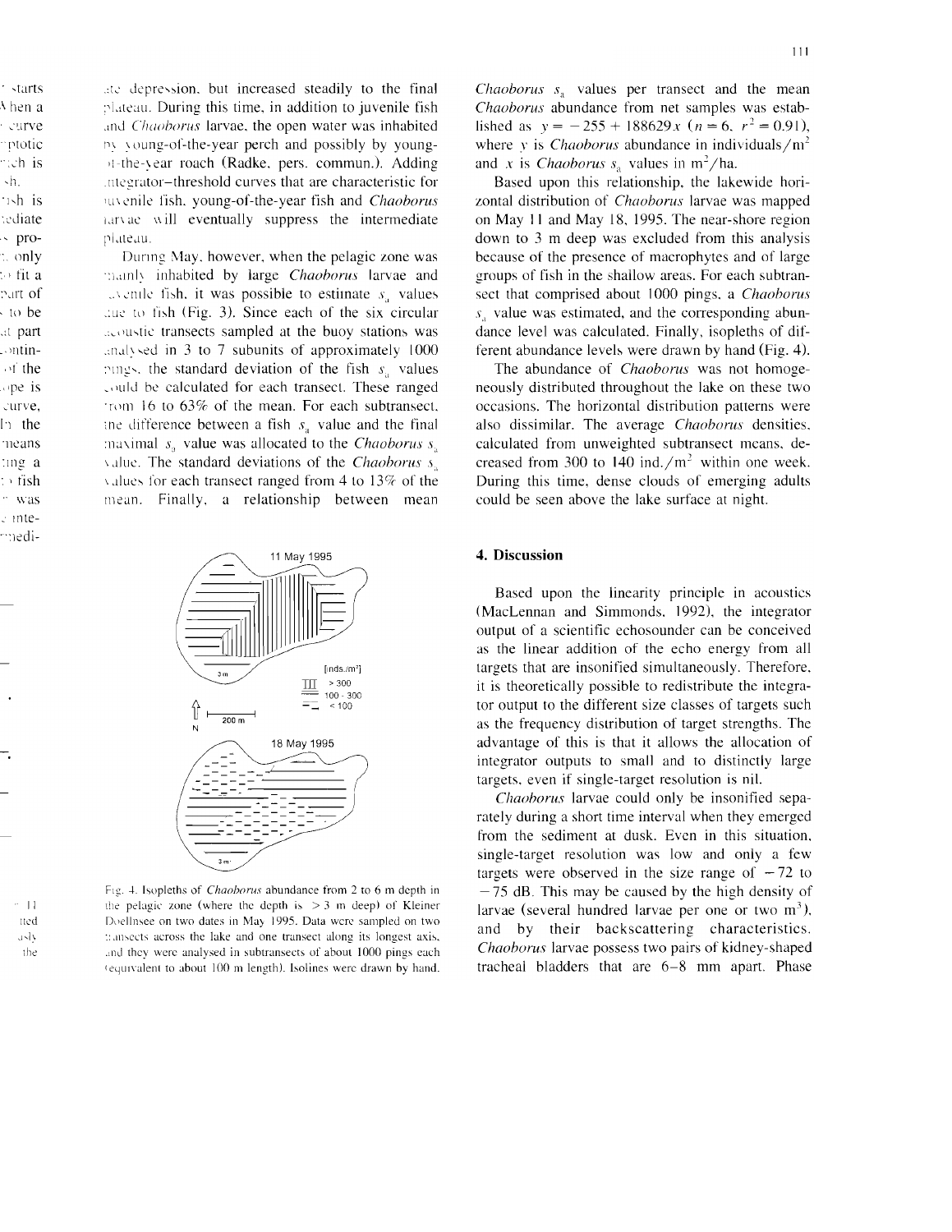ate depression, but increased steadily to the final plateau. During this time, in addition to juvenile fish and Chaoborus larvae, the open water was inhabited by young-of-the-year perch and possibly by youngit-the-vear roach (Radke, pers. commun.). Adding integrator-threshold curves that are characteristic for and chaoborus in the vear fish and *Chaoborus* harvae will eventually suppress the intermediate plateau.

During May, however, when the pelagic zone was mainly inhabited by large Chaoborus larvae and  $\therefore$  and  $\therefore$  it was possible to estimate  $s$ , values aue to fish (Fig. 3). Since each of the six circular acoustic transects sampled at the buoy stations was analysed in 3 to 7 subunits of approximately 1000 pings, the standard deviation of the fish  $s_a$  values could be calculated for each transect. These ranged from 16 to 63% of the mean. For each subtransect, the difference between a fish  $s_n$  value and the final maximal  $s_a$  value was allocated to the *Chaoborus*  $s_a$ value. The standard deviations of the Chaoborus s. values for each transect ranged from 4 to  $13\%$  of the mean. Finally, a relationship between mean



Fig. 4. Isopleths of *Chaoborus* abundance from 2 to 6 m depth in the pelagic zone (where the depth is  $>$  3 m deep) of Kleiner Doellnsee on two dates in May 1995. Data were sampled on two transects across the lake and one transect along its longest axis, and they were analysed in subtransects of about 1000 pings each (equivalent to about 100 m length). Isolines were drawn by hand.

*Chaoborus*  $s_a$  values per transect and the mean Chaoborus abundance from net samples was established as  $y = -255 + 188629x$  ( $n = 6$ ,  $r^2 = 0.91$ ), where v is *Chaoborus* abundance in individuals/ $m<sup>2</sup>$ and x is *Chaoborus*  $s_n$  values in m<sup>2</sup>/ha.

Based upon this relationship, the lakewide horizontal distribution of *Chaoborus* larvae was mapped on May 11 and May 18, 1995. The near-shore region down to 3 m deep was excluded from this analysis because of the presence of macrophytes and of large groups of fish in the shallow areas. For each subtransect that comprised about 1000 pings, a Chaoborus  $s_{\rm a}$  value was estimated, and the corresponding abundance level was calculated. Finally, isopleths of different abundance levels were drawn by hand (Fig. 4).

The abundance of *Chaoborus* was not homogeneously distributed throughout the lake on these two occasions. The horizontal distribution patterns were also dissimilar. The average *Chaoborus* densities, calculated from unweighted subtransect means, decreased from 300 to 140 ind./ $m<sup>2</sup>$  within one week. During this time, dense clouds of emerging adults could be seen above the lake surface at night.

#### 4. Discussion

Based upon the linearity principle in acoustics (MacLennan and Simmonds, 1992), the integrator output of a scientific echosounder can be conceived as the linear addition of the echo energy from all targets that are insonified simultaneously. Therefore, it is theoretically possible to redistribute the integrator output to the different size classes of targets such as the frequency distribution of target strengths. The advantage of this is that it allows the allocation of integrator outputs to small and to distinctly large targets, even if single-target resolution is nil.

*Chaoborus* larvae could only be insonified separately during a short time interval when they emerged from the sediment at dusk. Even in this situation, single-target resolution was low and only a few targets were observed in the size range of  $-72$  to  $-75$  dB. This may be caused by the high density of larvae (several hundred larvae per one or two  $m^3$ ), and by their backscattering characteristics. Chaoborus larvae possess two pairs of kidney-shaped tracheal bladders that are 6-8 mm apart. Phase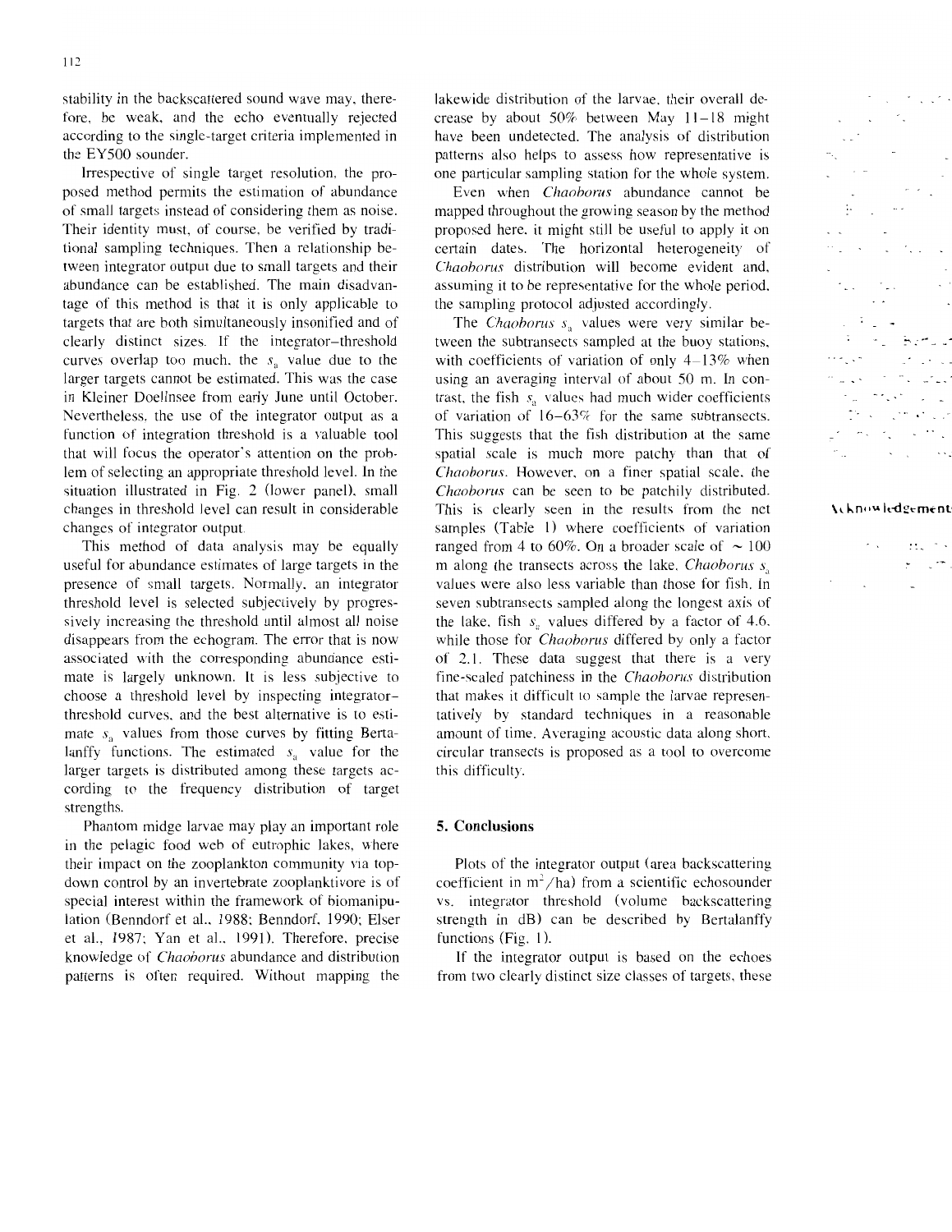stability in the backscattered sound wave may, therefore, be weak, and the echo eventually rejected according to the single-target criteria implemented in the EY500 sounder.

Irrespective of single target resolution, the proposed method permits the estimation of abundance of small targets instead of considering them as noise. Their identity must, of course, be verified by traditional sampling techniques. Then a relationship between integrator output due to small targets and their abundance can be established. The main disadvantage of this method is that it is only applicable to targets that are both simultaneously insonified and of clearly distinct sizes. If the integrator-threshold curves overlap too much, the  $s_n$  value due to the larger targets cannot be estimated. This was the case in Kleiner Doellnsee from early June until October. Nevertheless, the use of the integrator output as a function of integration threshold is a valuable tool that will focus the operator's attention on the problem of selecting an appropriate threshold level. In the situation illustrated in Fig. 2 (lower panel), small changes in threshold level can result in considerable changes of integrator output.

This method of data analysis may be equally useful for abundance estimates of large targets in the presence of small targets. Normally, an integrator threshold level is selected subjectively by progressively increasing the threshold until almost all noise disappears from the echogram. The error that is now associated with the corresponding abundance estimate is largely unknown. It is less subjective to choose a threshold level by inspecting integratorthreshold curves, and the best alternative is to estimate  $s_a$  values from those curves by fitting Bertalanffy functions. The estimated  $s_a$  value for the larger targets is distributed among these targets according to the frequency distribution of target strengths.

Phantom midge larvae may play an important role in the pelagic food web of eutrophic lakes, where their impact on the zooplankton community via topdown control by an invertebrate zooplanktivore is of special interest within the framework of biomanipulation (Benndorf et al., 1988; Benndorf, 1990; Elser et al., 1987; Yan et al., 1991). Therefore, precise knowledge of *Chaohorus* abundance and distribution patterns is often required. Without mapping the

lakewide distribution of the larvae, their overall decrease by about  $50\%$  between May  $11-18$  might have been undetected. The analysis of distribution patterns also helps to assess how representative is one particular sampling station for the whole system.

Even when *Chaoborus* abundance cannot be mapped throughout the growing season by the method proposed here, it might still be useful to apply it on certain dates. The horizontal heterogeneity of *Chaohorus* distribution will become evident and, assuming it to be representative for the whole period, the sampling protocol adjusted accordingly.

The *Chaoborus s*<sub>1</sub> values were very similar between the subtransects sampled at the buoy stations, with coefficients of variation of only  $4-13\%$  when using an averaging interval of about 50 m. In contrast, the fish  $s_a$  values had much wider coefficients of variation of  $16-63\%$  for the same subtransects. This suggests that the fish distribution at the same spatial scale is much more patchy than that of *Chaoborus.* However. on a finer spatial scale, the *Chaoborus* can be seen to be patchily distributed. This is clearly seen in the results from the net samples (Table I) where coefficients of variation ranged from 4 to 60%. On a broader scale of  $\sim 100$ m along the transects across the lake, *Chaoborus s*<sub>a</sub> values were also less variable than those for fish. In seven subtransects sampled along the longest axis of the lake, fish  $s_a$  values differed by a factor of 4.6, while those for *Chaoborus* differed by only a factor of 2.1. These data suggest that there is a very fine-scaled patchiness in the *Chaoborus* distribution that makes it difficult to sample the larvae representatively by standard techniques in a reasonable amount of time. Averaging acoustic data along short, circular transects is proposed as a tool to overcome this difficulty.

### 5. **Conclusions**

Plots of the integrator output (area backscattering coefficient in  $m^2/ha$ ) from a scientific echosounder vs. integrator threshold (volume backscattering strength in dB) can be described by Bertalanffy functions (Fig. I).

If the integrator output is based on the echoes from two clearly distinct size classes of targets, these